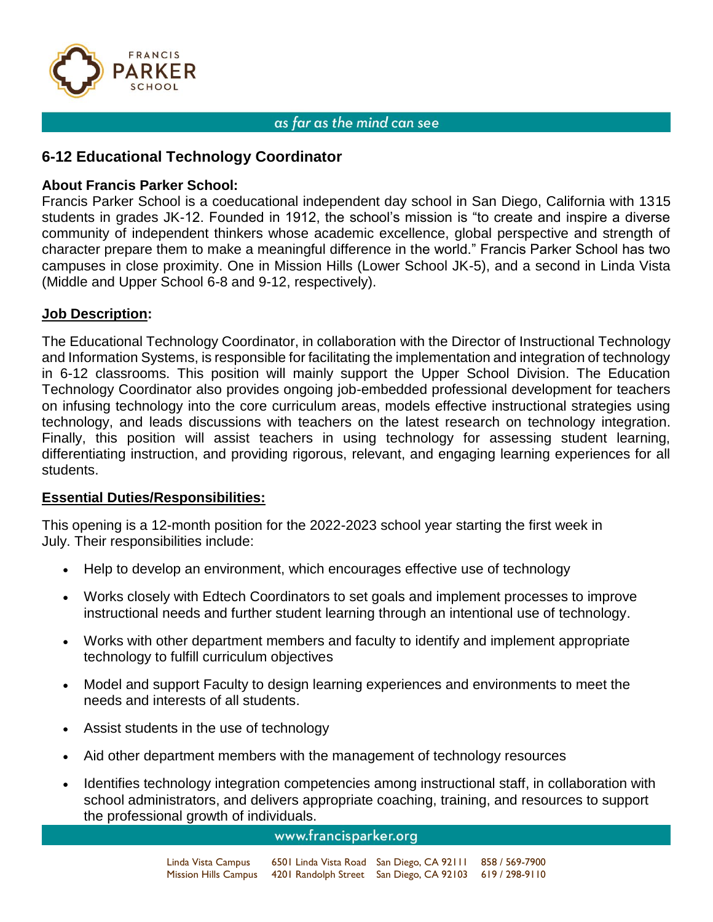

# **6-12 Educational Technology Coordinator**

## **About Francis Parker School:**

Francis Parker School is a coeducational independent day school in San Diego, California with 1315 students in grades JK-12. Founded in 1912, the school's mission is "to create and inspire a diverse community of independent thinkers whose academic excellence, global perspective and strength of character prepare them to make a meaningful difference in the world." Francis Parker School has two campuses in close proximity. One in Mission Hills (Lower School JK-5), and a second in Linda Vista (Middle and Upper School 6-8 and 9-12, respectively).

## **Job Description:**

The Educational Technology Coordinator, in collaboration with the Director of Instructional Technology and Information Systems, is responsible for facilitating the implementation and integration of technology in 6-12 classrooms. This position will mainly support the Upper School Division. The Education Technology Coordinator also provides ongoing job-embedded professional development for teachers on infusing technology into the core curriculum areas, models effective instructional strategies using technology, and leads discussions with teachers on the latest research on technology integration. Finally, this position will assist teachers in using technology for assessing student learning, differentiating instruction, and providing rigorous, relevant, and engaging learning experiences for all students.

## **Essential Duties/Responsibilities:**

This opening is a 12-month position for the 2022-2023 school year starting the first week in July. Their responsibilities include:

- Help to develop an environment, which encourages effective use of technology
- Works closely with Edtech Coordinators to set goals and implement processes to improve instructional needs and further student learning through an intentional use of technology.
- Works with other department members and faculty to identify and implement appropriate technology to fulfill curriculum objectives
- Model and support Faculty to design learning experiences and environments to meet the needs and interests of all students.
- Assist students in the use of technology
- Aid other department members with the management of technology resources
- Identifies technology integration competencies among instructional staff, in collaboration with school administrators, and delivers appropriate coaching, training, and resources to support the professional growth of individuals.

#### www.francisparker.org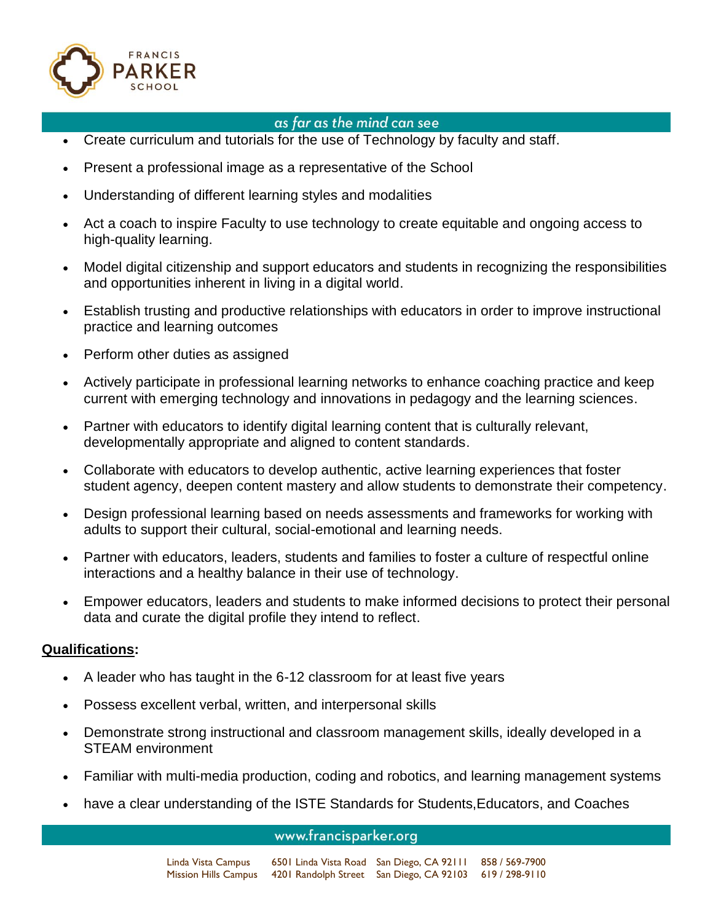

- Create curriculum and tutorials for the use of Technology by faculty and staff.
- Present a professional image as a representative of the School
- Understanding of different learning styles and modalities
- Act a coach to inspire Faculty to use technology to create equitable and ongoing access to high-quality learning.
- Model digital citizenship and support educators and students in recognizing the responsibilities and opportunities inherent in living in a digital world.
- Establish trusting and productive relationships with educators in order to improve instructional practice and learning outcomes
- Perform other duties as assigned
- Actively participate in professional learning networks to enhance coaching practice and keep current with emerging technology and innovations in pedagogy and the learning sciences.
- Partner with educators to identify digital learning content that is culturally relevant, developmentally appropriate and aligned to content standards.
- Collaborate with educators to develop authentic, active learning experiences that foster student agency, deepen content mastery and allow students to demonstrate their competency.
- Design professional learning based on needs assessments and frameworks for working with adults to support their cultural, social-emotional and learning needs.
- Partner with educators, leaders, students and families to foster a culture of respectful online interactions and a healthy balance in their use of technology.
- Empower educators, leaders and students to make informed decisions to protect their personal data and curate the digital profile they intend to reflect.

## **Qualifications:**

- A leader who has taught in the 6-12 classroom for at least five years
- Possess excellent verbal, written, and interpersonal skills
- Demonstrate strong instructional and classroom management skills, ideally developed in a STEAM environment
- Familiar with multi-media production, coding and robotics, and learning management systems
- have a clear understanding of the ISTE Standards for Students, Educators, and Coaches

#### www.francisparker.org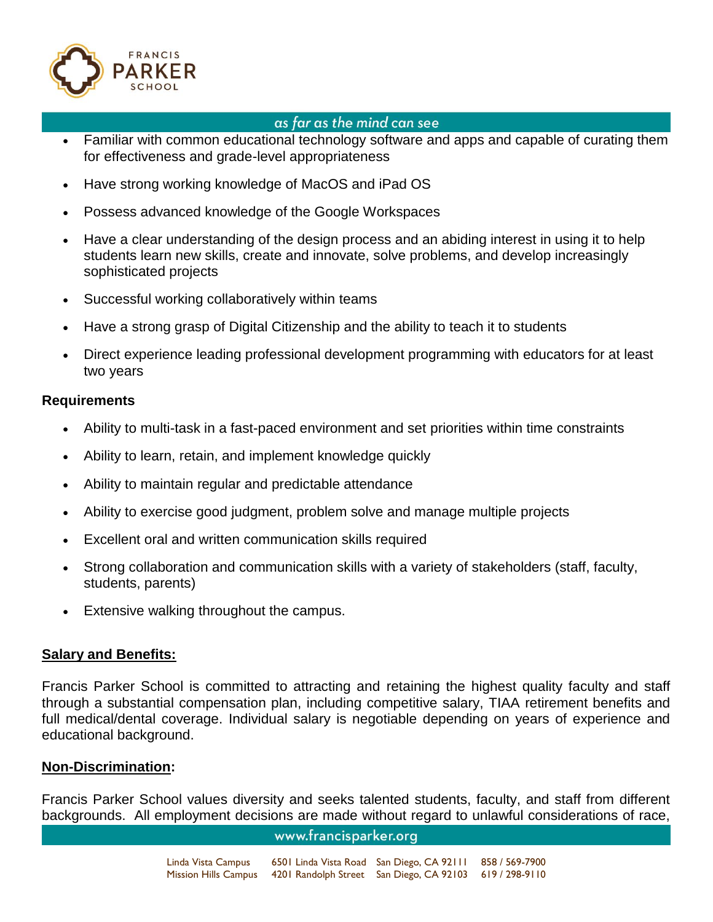

- Familiar with common educational technology software and apps and capable of curating them for effectiveness and grade-level appropriateness
- Have strong working knowledge of MacOS and iPad OS
- Possess advanced knowledge of the Google Workspaces
- Have a clear understanding of the design process and an abiding interest in using it to help students learn new skills, create and innovate, solve problems, and develop increasingly sophisticated projects
- Successful working collaboratively within teams
- Have a strong grasp of Digital Citizenship and the ability to teach it to students
- Direct experience leading professional development programming with educators for at least two years

### **Requirements**

- Ability to multi-task in a fast-paced environment and set priorities within time constraints
- Ability to learn, retain, and implement knowledge quickly
- Ability to maintain regular and predictable attendance
- Ability to exercise good judgment, problem solve and manage multiple projects
- Excellent oral and written communication skills required
- Strong collaboration and communication skills with a variety of stakeholders (staff, faculty, students, parents)
- Extensive walking throughout the campus.

## **Salary and Benefits:**

Francis Parker School is committed to attracting and retaining the highest quality faculty and staff through a substantial compensation plan, including competitive salary, TIAA retirement benefits and full medical/dental coverage. Individual salary is negotiable depending on years of experience and educational background.

## **Non-Discrimination:**

Francis Parker School values diversity and seeks talented students, faculty, and staff from different backgrounds. All employment decisions are made without regard to unlawful considerations of race,

## www.francisparker.org